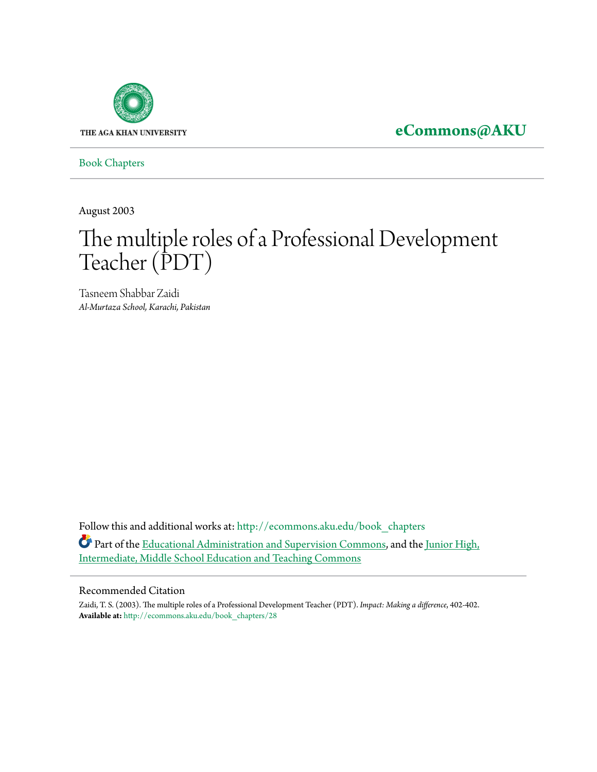

**[eCommons@AKU](http://ecommons.aku.edu?utm_source=ecommons.aku.edu%2Fbook_chapters%2F28&utm_medium=PDF&utm_campaign=PDFCoverPages)**

[Book Chapters](http://ecommons.aku.edu/book_chapters?utm_source=ecommons.aku.edu%2Fbook_chapters%2F28&utm_medium=PDF&utm_campaign=PDFCoverPages)

August 2003

## The multiple roles of a Professional Development Teacher (PDT)

Tasneem Shabbar Zaidi *Al-Murtaza School, Karachi, Pakistan*

Follow this and additional works at: [http://ecommons.aku.edu/book\\_chapters](http://ecommons.aku.edu/book_chapters?utm_source=ecommons.aku.edu%2Fbook_chapters%2F28&utm_medium=PDF&utm_campaign=PDFCoverPages) Part of the [Educational Administration and Supervision Commons,](http://network.bepress.com/hgg/discipline/787?utm_source=ecommons.aku.edu%2Fbook_chapters%2F28&utm_medium=PDF&utm_campaign=PDFCoverPages) and the [Junior High,](http://network.bepress.com/hgg/discipline/807?utm_source=ecommons.aku.edu%2Fbook_chapters%2F28&utm_medium=PDF&utm_campaign=PDFCoverPages) [Intermediate, Middle School Education and Teaching Commons](http://network.bepress.com/hgg/discipline/807?utm_source=ecommons.aku.edu%2Fbook_chapters%2F28&utm_medium=PDF&utm_campaign=PDFCoverPages)

## Recommended Citation

Zaidi, T. S. (2003). The multiple roles of a Professional Development Teacher (PDT). *Impact: Making a difference*, 402-402. **Available at:** [http://ecommons.aku.edu/book\\_chapters/28](http://ecommons.aku.edu/book_chapters/28)